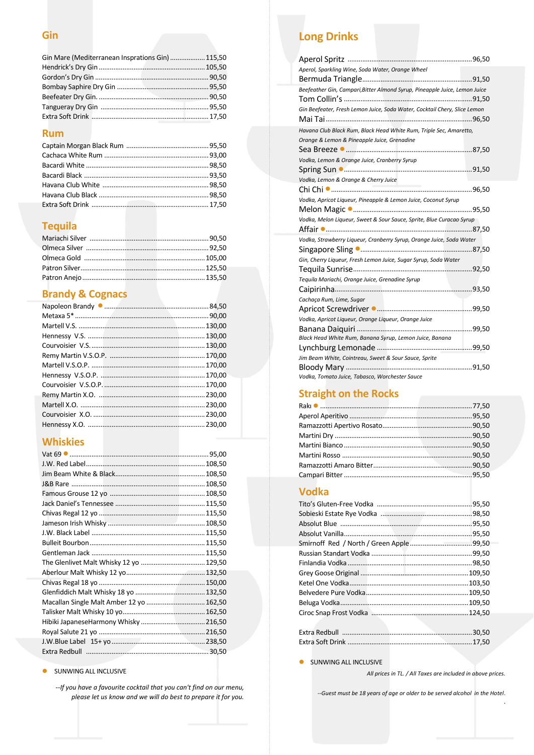#### **Gin**

| Gin Mare (Mediterranean Insprations Gin)  115,50 |  |
|--------------------------------------------------|--|
|                                                  |  |
|                                                  |  |
|                                                  |  |
|                                                  |  |
|                                                  |  |
|                                                  |  |

#### **Rum**

## **Tequila**

# **Brandy & Cognacs**

# **Whiskies**

| The Glenlivet Malt Whisky 12 yo  129,50  |  |
|------------------------------------------|--|
|                                          |  |
|                                          |  |
|                                          |  |
| Macallan Single Malt Amber 12 yo  162,50 |  |
|                                          |  |
|                                          |  |
|                                          |  |
|                                          |  |
|                                          |  |

#### SUNWING ALL INCLUSIVE

*--If you have a favourite cocktail that you can't find on our menu, please let us know and we will do best to prepare it for you.*

# **Long Drinks**

| Aperol, Sparkling Wine, Soda Water, Orange Wheel                           |
|----------------------------------------------------------------------------|
|                                                                            |
| Beefeather Gin, Campari, Bitter Almond Syrup, Pineapple Juice, Lemon Juice |
|                                                                            |
| Gin Beefeater, Fresh Lemon Juice, Soda Water, Cocktail Chery, Slice Lemon  |
|                                                                            |
| Havana Club Black Rum, Black Head White Rum, Triple Sec, Amaretto,         |
| Orange & Lemon & Pineapple Juice, Grenadine                                |
|                                                                            |
| Vodka, Lemon & Orange Juice, Cranberry Syrup                               |
|                                                                            |
| Vodka, Lemon & Orange & Cherry Juice                                       |
|                                                                            |
| Vodka, Apricot Liqueur, Pineapple & Lemon Juice, Coconut Syrup             |
|                                                                            |
| Vodka, Melon Liqueur, Sweet & Sour Sauce, Sprite, Blue Curacao Syrup       |
|                                                                            |
| Vodka, Strawberry Liqueur, Cranberry Syrup, Orange Juice, Soda Water       |
|                                                                            |
|                                                                            |
| Gin, Cherry Liqueur, Fresh Lemon Juice, Sugar Syrup, Soda Water            |
|                                                                            |
| Tequila Mariachi, Orange Juice, Grenadine Syrup                            |
|                                                                            |
|                                                                            |
| Cachaça Rum, Lime, Sugar                                                   |
| Vodka, Apricot Liqueur, Orange Liqueur, Orange Juice                       |
|                                                                            |
| Black Head White Rum, Banana Syrup, Lemon Juice, Banana                    |
|                                                                            |
| Jim Beam White, Cointreau, Sweet & Sour Sauce, Sprite                      |
|                                                                            |

# **Straight on the Rocks**

#### **Vodka**

SUNWING ALL INCLUSIVE

*All prices in TL. / All Taxes are included in above prices.* 

.

*--Guest must be 18 years of age or older to be served alcohol in the Hotel*.